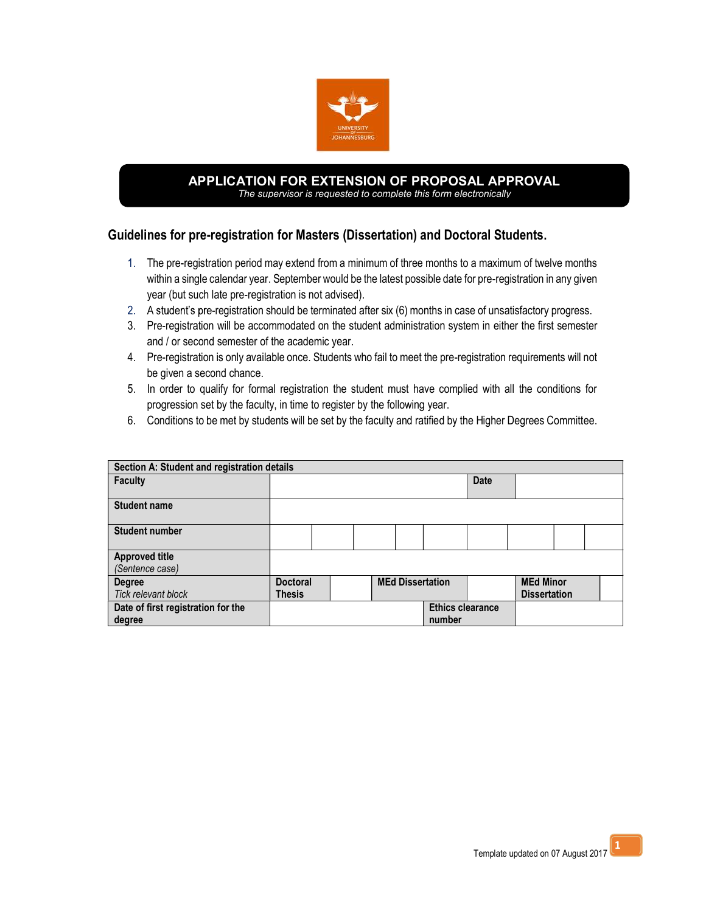

#### APPLICATION FOR EXTENSION OF PROPOSAL APPROVAL The supervisor is requested to complete this form electronically

# Guidelines for pre-registration for Masters (Dissertation) and Doctoral Students.

- 1. The pre-registration period may extend from a minimum of three months to a maximum of twelve months within a single calendar year. September would be the latest possible date for pre-registration in any given year (but such late pre-registration is not advised).
- 2. A student's pre-registration should be terminated after six (6) months in case of unsatisfactory progress.
- 3. Pre-registration will be accommodated on the student administration system in either the first semester and / or second semester of the academic year.
- 4. Pre-registration is only available once. Students who fail to meet the pre-registration requirements will not be given a second chance.
- 5. In order to qualify for formal registration the student must have complied with all the conditions for progression set by the faculty, in time to register by the following year.
- 6. Conditions to be met by students will be set by the faculty and ratified by the Higher Degrees Committee.

| Section A: Student and registration details |                 |  |                         |  |  |                         |             |                     |  |  |  |
|---------------------------------------------|-----------------|--|-------------------------|--|--|-------------------------|-------------|---------------------|--|--|--|
| <b>Faculty</b>                              |                 |  |                         |  |  |                         | <b>Date</b> |                     |  |  |  |
| <b>Student name</b>                         |                 |  |                         |  |  |                         |             |                     |  |  |  |
| <b>Student number</b>                       |                 |  |                         |  |  |                         |             |                     |  |  |  |
| <b>Approved title</b>                       |                 |  |                         |  |  |                         |             |                     |  |  |  |
| (Sentence case)                             |                 |  |                         |  |  |                         |             |                     |  |  |  |
| Degree                                      | <b>Doctoral</b> |  | <b>MEd Dissertation</b> |  |  | <b>MEd Minor</b>        |             |                     |  |  |  |
| Tick relevant block                         | <b>Thesis</b>   |  |                         |  |  |                         |             | <b>Dissertation</b> |  |  |  |
| Date of first registration for the          |                 |  |                         |  |  | <b>Ethics clearance</b> |             |                     |  |  |  |
| degree                                      |                 |  |                         |  |  | number                  |             |                     |  |  |  |

1